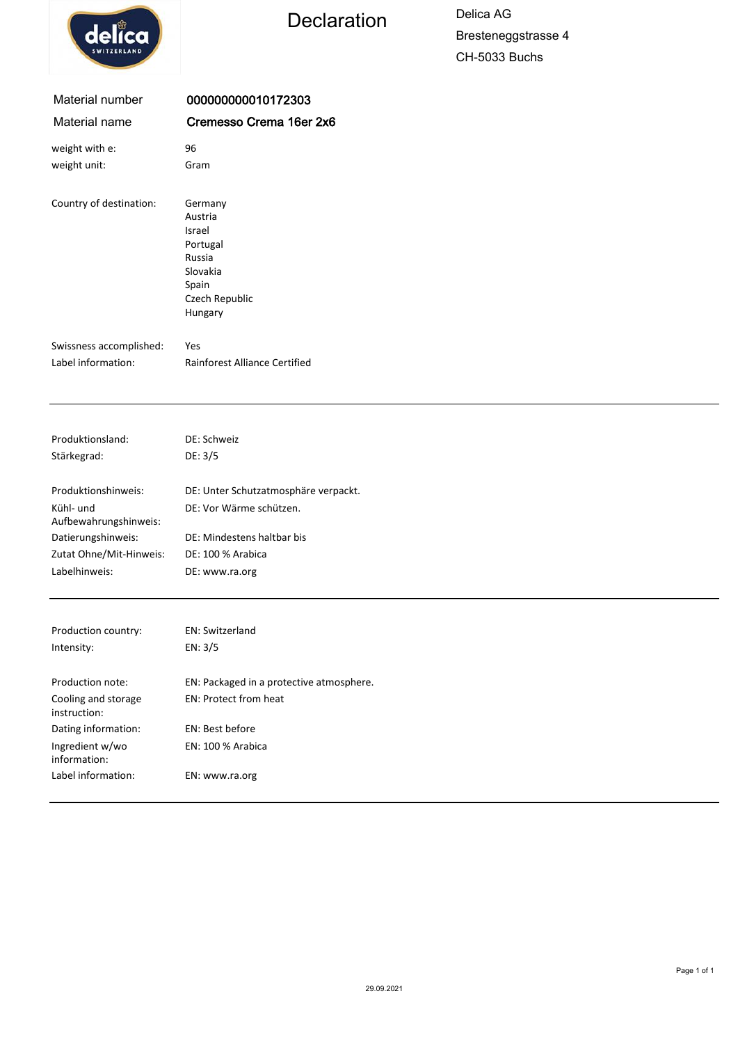

## Declaration Delica AG

Bresteneggstrasse 4 CH-5033 Buchs

| Material number                     | 000000000010172303                                                                                   |
|-------------------------------------|------------------------------------------------------------------------------------------------------|
| Material name                       | Cremesso Crema 16er 2x6                                                                              |
| weight with e:                      | 96                                                                                                   |
| weight unit:                        | Gram                                                                                                 |
| Country of destination:             | Germany<br>Austria<br>Israel<br>Portugal<br>Russia<br>Slovakia<br>Spain<br>Czech Republic<br>Hungary |
| Swissness accomplished:             | Yes                                                                                                  |
| Label information:                  | Rainforest Alliance Certified                                                                        |
|                                     |                                                                                                      |
| Produktionsland:                    | DE: Schweiz                                                                                          |
| Stärkegrad:                         | DE: 3/5                                                                                              |
| Produktionshinweis:                 | DE: Unter Schutzatmosphäre verpackt.                                                                 |
| Kühl- und<br>Aufbewahrungshinweis:  | DE: Vor Wärme schützen.                                                                              |
| Datierungshinweis:                  | DE: Mindestens haltbar bis                                                                           |
| Zutat Ohne/Mit-Hinweis:             | DE: 100 % Arabica                                                                                    |
| Labelhinweis:                       | DE: www.ra.org                                                                                       |
| Production country:                 | EN: Switzerland                                                                                      |
| Intensity:                          | EN: 3/5                                                                                              |
|                                     |                                                                                                      |
| Production note:                    | EN: Packaged in a protective atmosphere.                                                             |
| Cooling and storage<br>instruction: | EN: Protect from heat                                                                                |
| Dating information:                 | EN: Best before                                                                                      |
| Ingredient w/wo<br>information:     | EN: 100 % Arabica                                                                                    |
| Label information:                  | EN: www.ra.org                                                                                       |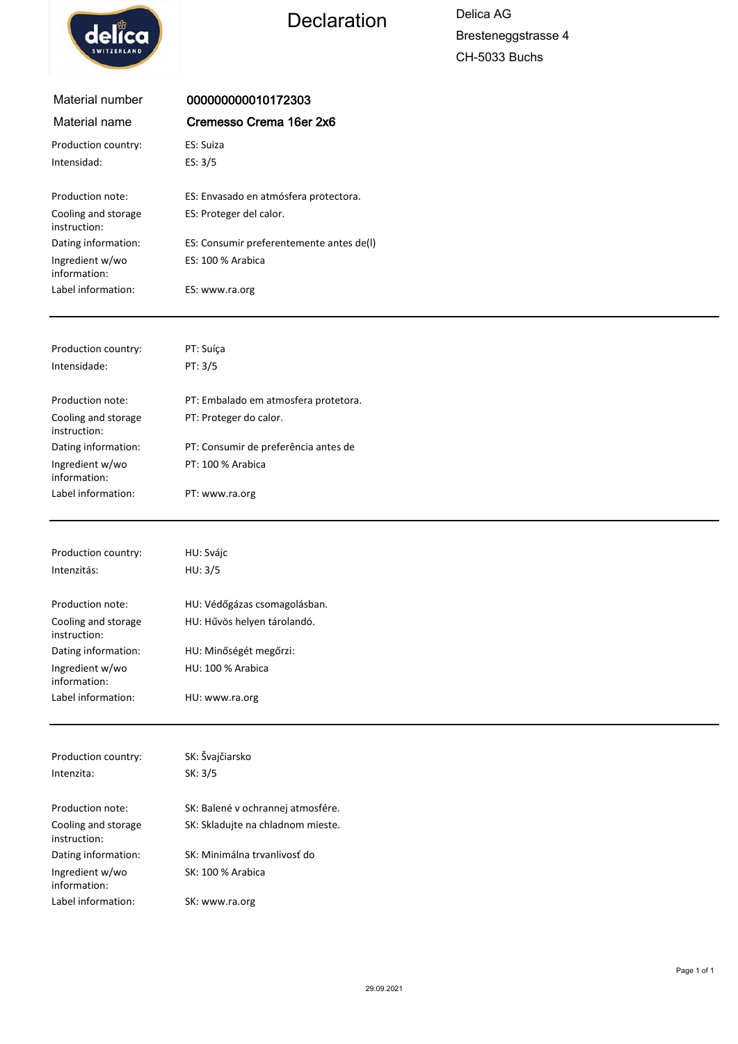



| Material number                        | 000000000010172303                          |
|----------------------------------------|---------------------------------------------|
| Material name                          | Cremesso Crema 16er 2x6                     |
| Production country:                    | ES: Suiza                                   |
| Intensidad:                            | ES: 3/5                                     |
|                                        |                                             |
| Production note:                       | ES: Envasado en atmósfera protectora.       |
| Cooling and storage<br>instruction:    | ES: Proteger del calor.                     |
| Dating information:                    | ES: Consumir preferentemente antes de(I)    |
| Ingredient w/wo                        | ES: 100 % Arabica                           |
| information:                           |                                             |
| Label information:                     | ES: www.ra.org                              |
|                                        |                                             |
| Production country:                    | PT: Suíça                                   |
| Intensidade:                           | PT: 3/5                                     |
|                                        |                                             |
| Production note:                       | PT: Embalado em atmosfera protetora.        |
| Cooling and storage<br>instruction:    | PT: Proteger do calor.                      |
| Dating information:                    | PT: Consumir de preferência antes de        |
| Ingredient w/wo                        | PT: 100 % Arabica                           |
| information:                           |                                             |
| Label information:                     | PT: www.ra.org                              |
|                                        |                                             |
| Production country:                    | HU: Svájc                                   |
| Intenzitás:                            | HU: 3/5                                     |
|                                        |                                             |
| Production note:                       | HU: Védőgázas csomagolásban.                |
| Cooling and storage                    | HU: Hűvös helyen tárolandó.                 |
| instruction:                           |                                             |
| Dating information:<br>Ingredient w/wo | HU: Minőségét megőrzi:<br>HU: 100 % Arabica |
| information:                           |                                             |
| Label information:                     | HU: www.ra.org                              |
|                                        |                                             |
| Production country:                    | SK: Švajčiarsko                             |
| Intenzita:                             | SK: 3/5                                     |
|                                        |                                             |
| Production note:                       | SK: Balené v ochrannej atmosfére.           |
| Cooling and storage                    | SK: Skladujte na chladnom mieste.           |
| instruction:                           | SK: Minimálna trvanlivosť do                |
| Dating information:<br>Ingredient w/wo | <b>SK: 100 % Arabica</b>                    |
| information:                           |                                             |
| Label information:                     | SK: www.ra.org                              |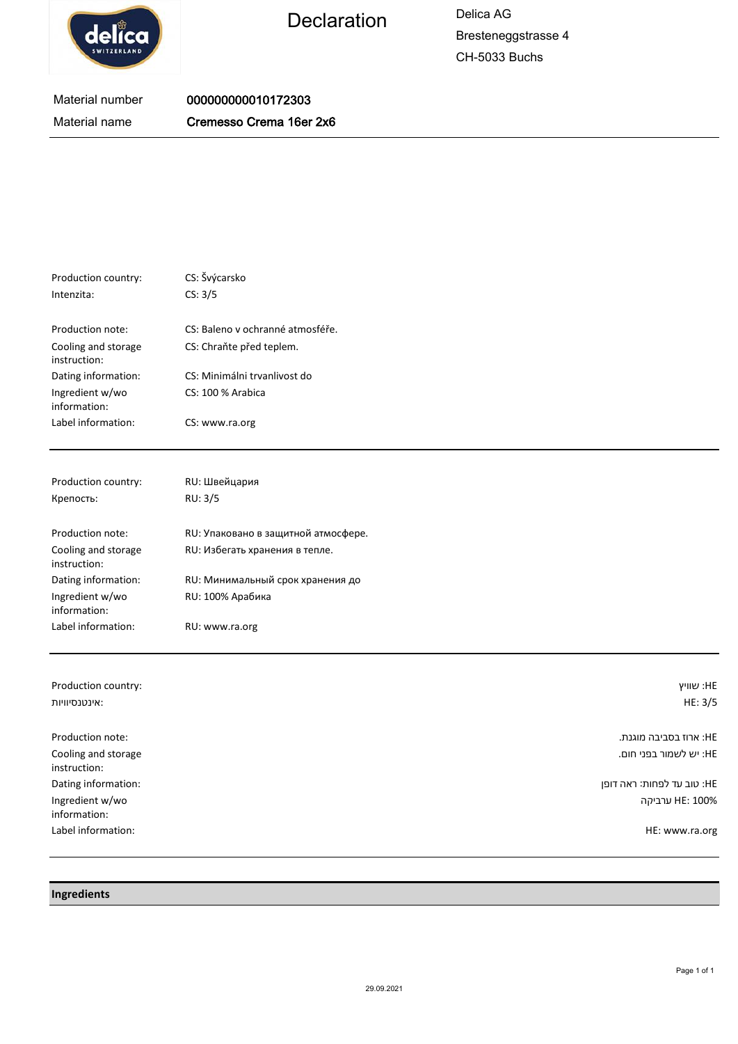

Declaration Delica AG

Bresteneggstrasse 4 CH-5033 Buchs

## Material number Material name 000000000010172303 Cremesso Crema 16er 2x6

| Production country:                 | CS: Švýcarsko                    |
|-------------------------------------|----------------------------------|
| Intenzita:                          | CS: 3/5                          |
| Production note:                    | CS: Baleno v ochranné atmosféře. |
| Cooling and storage<br>instruction: | CS: Chraňte před teplem.         |
| Dating information:                 | CS: Minimálni trvanlivost do     |
| Ingredient w/wo<br>information:     | CS: 100 % Arabica                |
| Label information:                  | CS: www.ra.org                   |

| Production country:                 | RU: Швейцария                       |
|-------------------------------------|-------------------------------------|
| Крепость:                           | RU: 3/5                             |
|                                     |                                     |
| Production note:                    | RU: Упаковано в защитной атмосфере. |
| Cooling and storage<br>instruction: | RU: Избегать хранения в тепле.      |
| Dating information:                 | RU: Минимальный срок хранения до    |
| Ingredient w/wo<br>information:     | RU: 100% Арабика                    |
| Label information:                  | RU: www.ra.org                      |

| Production country:<br>אינטנסיוויות: | HE: שוויץ<br>HE: 3/5       |
|--------------------------------------|----------------------------|
|                                      |                            |
| Production note:                     | :HE ארוז בסביבה מוגנת.     |
| Cooling and storage<br>instruction:  | :HE יש לשמור בפני חום.     |
| Dating information:                  | :HE טוב עד לפחות: ראה דופן |
| Ingredient w/wo<br>information:      | HE: 100% ארביקה            |
| Label information:                   | HE: www.ra.org             |

**Ingredients**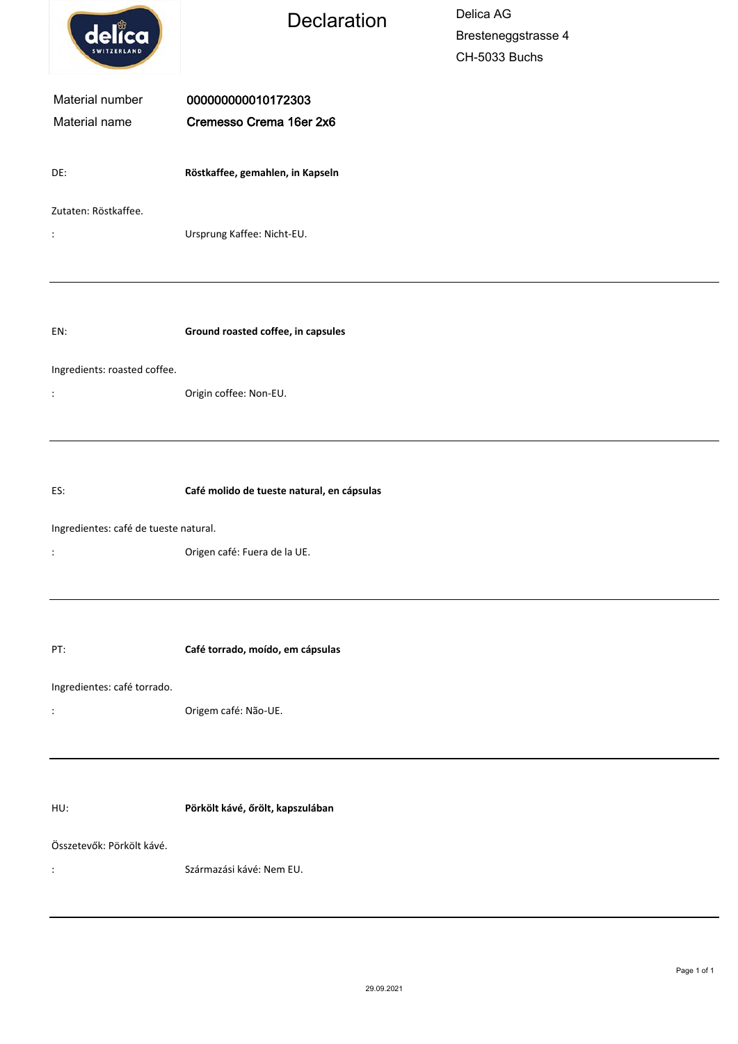| delica                                                                                        | Declaration                                   | Delica AG<br>Bresteneggstrasse 4<br>CH-5033 Buchs |
|-----------------------------------------------------------------------------------------------|-----------------------------------------------|---------------------------------------------------|
| Material number<br>Material name                                                              | 000000000010172303<br>Cremesso Crema 16er 2x6 |                                                   |
| DE:                                                                                           | Röstkaffee, gemahlen, in Kapseln              |                                                   |
| Zutaten: Röstkaffee.<br>$\ddot{\phantom{a}}$                                                  | Ursprung Kaffee: Nicht-EU.                    |                                                   |
| EN:                                                                                           | Ground roasted coffee, in capsules            |                                                   |
| Ingredients: roasted coffee.<br>$\ddot{\cdot}$                                                | Origin coffee: Non-EU.                        |                                                   |
| ES:                                                                                           | Café molido de tueste natural, en cápsulas    |                                                   |
| Ingredientes: café de tueste natural.<br>Origen café: Fuera de la UE.<br>$\ddot{\phantom{a}}$ |                                               |                                                   |
| PT:                                                                                           | Café torrado, moído, em cápsulas              |                                                   |
| Ingredientes: café torrado.<br>$\ddot{\cdot}$                                                 | Origem café: Não-UE.                          |                                                   |
| HU:                                                                                           | Pörkölt kávé, őrölt, kapszulában              |                                                   |
| Összetevők: Pörkölt kávé.<br>:                                                                | Származási kávé: Nem EU.                      |                                                   |